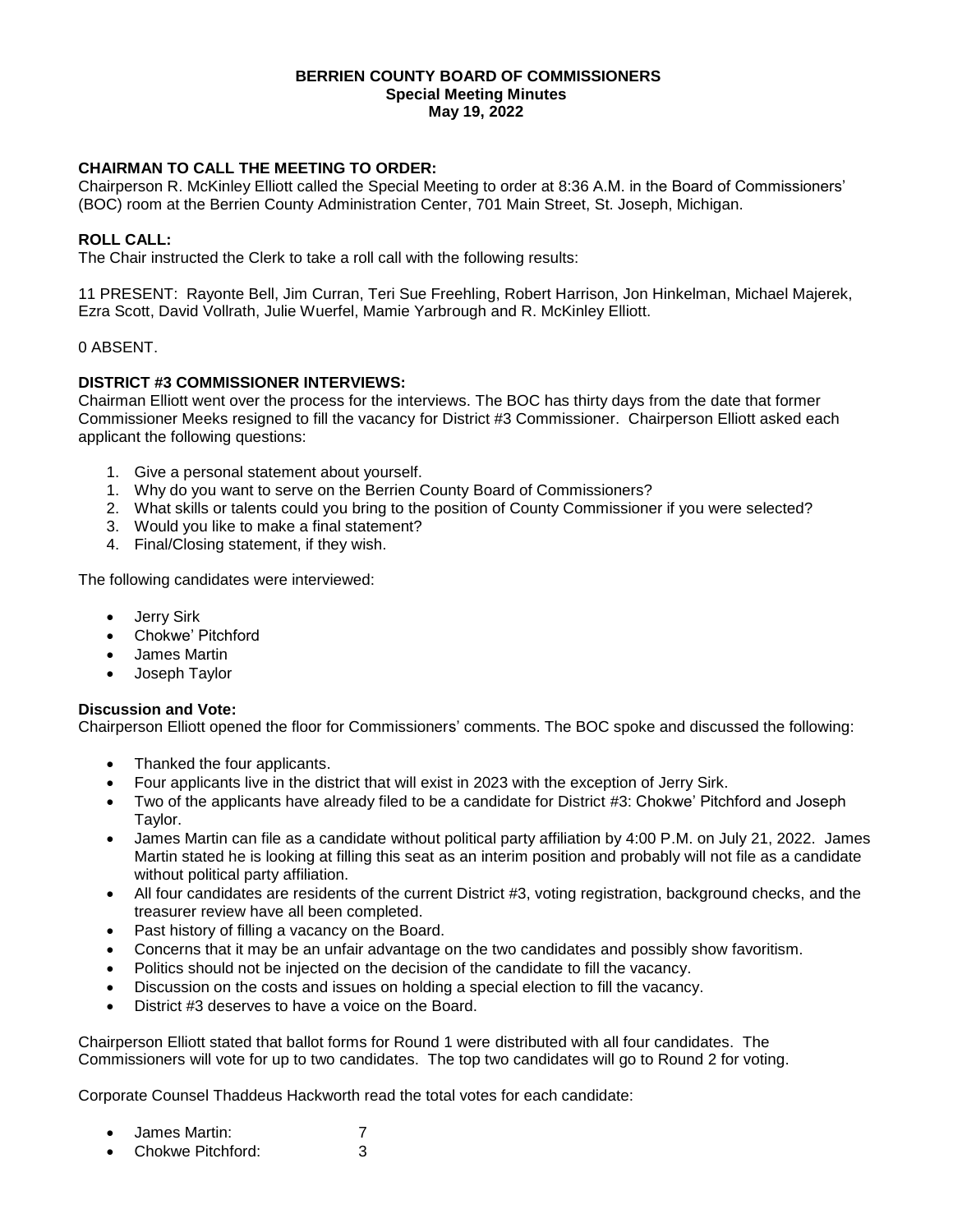#### **BERRIEN COUNTY BOARD OF COMMISSIONERS Special Meeting Minutes May 19, 2022**

# **CHAIRMAN TO CALL THE MEETING TO ORDER:**

Chairperson R. McKinley Elliott called the Special Meeting to order at 8:36 A.M. in the Board of Commissioners' (BOC) room at the Berrien County Administration Center, 701 Main Street, St. Joseph, Michigan.

## **ROLL CALL:**

The Chair instructed the Clerk to take a roll call with the following results:

11 PRESENT: Rayonte Bell, Jim Curran, Teri Sue Freehling, Robert Harrison, Jon Hinkelman, Michael Majerek, Ezra Scott, David Vollrath, Julie Wuerfel, Mamie Yarbrough and R. McKinley Elliott.

### 0 ABSENT.

### **DISTRICT #3 COMMISSIONER INTERVIEWS:**

Chairman Elliott went over the process for the interviews. The BOC has thirty days from the date that former Commissioner Meeks resigned to fill the vacancy for District #3 Commissioner. Chairperson Elliott asked each applicant the following questions:

- 1. Give a personal statement about yourself.
- 1. Why do you want to serve on the Berrien County Board of Commissioners?
- 2. What skills or talents could you bring to the position of County Commissioner if you were selected?
- 3. Would you like to make a final statement?
- 4. Final/Closing statement, if they wish.

The following candidates were interviewed:

- Jerry Sirk
- Chokwe' Pitchford
- James Martin
- Joseph Taylor

#### **Discussion and Vote:**

Chairperson Elliott opened the floor for Commissioners' comments. The BOC spoke and discussed the following:

- Thanked the four applicants.
- Four applicants live in the district that will exist in 2023 with the exception of Jerry Sirk.
- Two of the applicants have already filed to be a candidate for District #3: Chokwe' Pitchford and Joseph Taylor.
- James Martin can file as a candidate without political party affiliation by 4:00 P.M. on July 21, 2022. James Martin stated he is looking at filling this seat as an interim position and probably will not file as a candidate without political party affiliation.
- All four candidates are residents of the current District #3, voting registration, background checks, and the treasurer review have all been completed.
- Past history of filling a vacancy on the Board.
- Concerns that it may be an unfair advantage on the two candidates and possibly show favoritism.
- Politics should not be injected on the decision of the candidate to fill the vacancy.
- Discussion on the costs and issues on holding a special election to fill the vacancy.
- District #3 deserves to have a voice on the Board.

Chairperson Elliott stated that ballot forms for Round 1 were distributed with all four candidates. The Commissioners will vote for up to two candidates. The top two candidates will go to Round 2 for voting.

Corporate Counsel Thaddeus Hackworth read the total votes for each candidate:

- James Martin: 7
- Chokwe Pitchford: 3